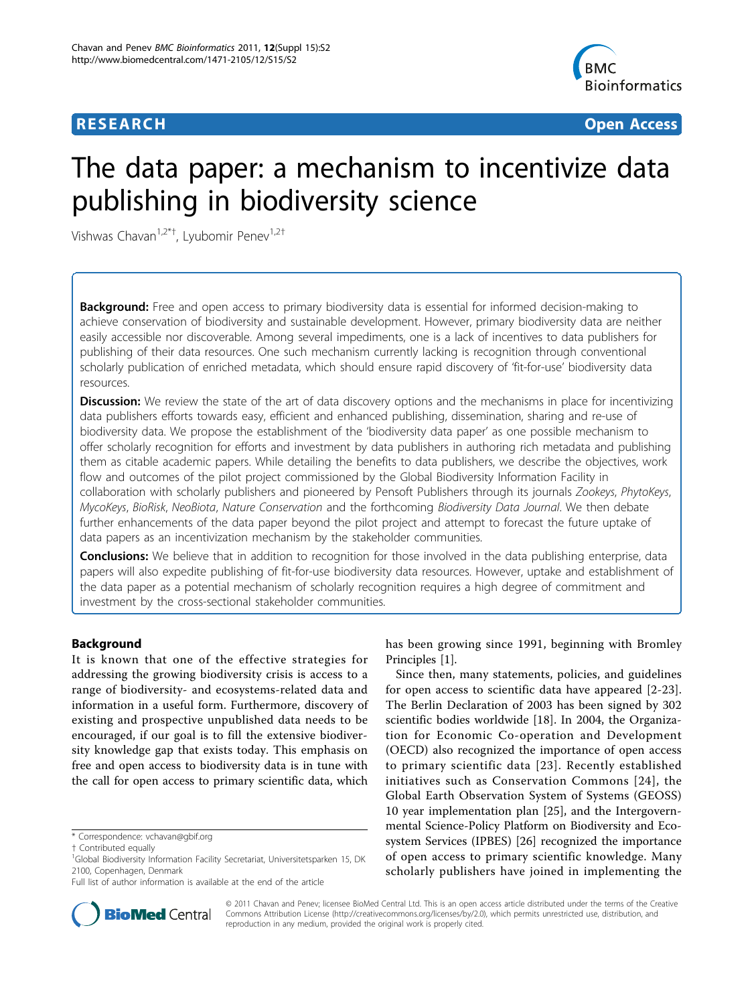# **RESEARCH CONSTRUCTION CONSTRUCTS**



# The data paper: a mechanism to incentivize data publishing in biodiversity science

Vishwas Chavan<sup>1,2\*†</sup>, Lyubomir Penev<sup>1,2†</sup>

Background: Free and open access to primary biodiversity data is essential for informed decision-making to achieve conservation of biodiversity and sustainable development. However, primary biodiversity data are neither easily accessible nor discoverable. Among several impediments, one is a lack of incentives to data publishers for publishing of their data resources. One such mechanism currently lacking is recognition through conventional scholarly publication of enriched metadata, which should ensure rapid discovery of 'fit-for-use' biodiversity data resources.

**Discussion:** We review the state of the art of data discovery options and the mechanisms in place for incentivizing data publishers efforts towards easy, efficient and enhanced publishing, dissemination, sharing and re-use of biodiversity data. We propose the establishment of the 'biodiversity data paper' as one possible mechanism to offer scholarly recognition for efforts and investment by data publishers in authoring rich metadata and publishing them as citable academic papers. While detailing the benefits to data publishers, we describe the objectives, work flow and outcomes of the pilot project commissioned by the Global Biodiversity Information Facility in collaboration with scholarly publishers and pioneered by Pensoft Publishers through its journals Zookeys, PhytoKeys, MycoKeys, BioRisk, NeoBiota, Nature Conservation and the forthcoming Biodiversity Data Journal. We then debate further enhancements of the data paper beyond the pilot project and attempt to forecast the future uptake of data papers as an incentivization mechanism by the stakeholder communities.

**Conclusions:** We believe that in addition to recognition for those involved in the data publishing enterprise, data papers will also expedite publishing of fit-for-use biodiversity data resources. However, uptake and establishment of the data paper as a potential mechanism of scholarly recognition requires a high degree of commitment and investment by the cross-sectional stakeholder communities.

# Background

It is known that one of the effective strategies for addressing the growing biodiversity crisis is access to a range of biodiversity- and ecosystems-related data and information in a useful form. Furthermore, discovery of existing and prospective unpublished data needs to be encouraged, if our goal is to fill the extensive biodiversity knowledge gap that exists today. This emphasis on free and open access to biodiversity data is in tune with the call for open access to primary scientific data, which



Since then, many statements, policies, and guidelines for open access to scientific data have appeared [\[2](#page-10-0)-[23](#page-10-0)]. The Berlin Declaration of 2003 has been signed by 302 scientific bodies worldwide [\[18](#page-10-0)]. In 2004, the Organization for Economic Co-operation and Development (OECD) also recognized the importance of open access to primary scientific data [[23\]](#page-10-0). Recently established initiatives such as Conservation Commons [[24](#page-10-0)], the Global Earth Observation System of Systems (GEOSS) 10 year implementation plan [\[25](#page-10-0)], and the Intergovernmental Science-Policy Platform on Biodiversity and Ecosystem Services (IPBES) [[26\]](#page-10-0) recognized the importance of open access to primary scientific knowledge. Many scholarly publishers have joined in implementing the



© 2011 Chavan and Penev; licensee BioMed Central Ltd. This is an open access article distributed under the terms of the Creative Commons Attribution License [\(http://creativecommons.org/licenses/by/2.0](http://creativecommons.org/licenses/by/2.0)), which permits unrestricted use, distribution, and reproduction in any medium, provided the original work is properly cited.

<sup>\*</sup> Correspondence: [vchavan@gbif.org](mailto:vchavan@gbif.org)

<sup>†</sup> Contributed equally <sup>1</sup>

<sup>&</sup>lt;sup>1</sup>Global Biodiversity Information Facility Secretariat, Universitetsparken 15, DK 2100, Copenhagen, Denmark

Full list of author information is available at the end of the article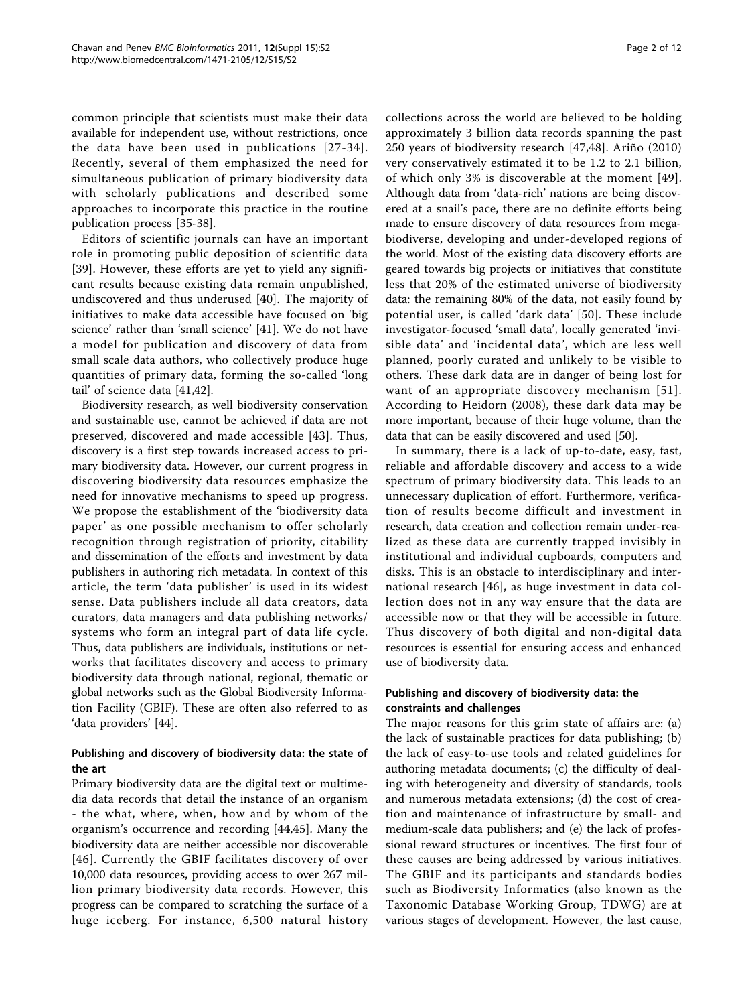common principle that scientists must make their data available for independent use, without restrictions, once the data have been used in publications [[27-34\]](#page-10-0). Recently, several of them emphasized the need for simultaneous publication of primary biodiversity data with scholarly publications and described some approaches to incorporate this practice in the routine publication process [\[35](#page-10-0)[-38](#page-11-0)].

Editors of scientific journals can have an important role in promoting public deposition of scientific data [[39](#page-11-0)]. However, these efforts are yet to yield any significant results because existing data remain unpublished, undiscovered and thus underused [[40\]](#page-11-0). The majority of initiatives to make data accessible have focused on 'big science' rather than 'small science' [\[41](#page-11-0)]. We do not have a model for publication and discovery of data from small scale data authors, who collectively produce huge quantities of primary data, forming the so-called 'long tail' of science data [[41](#page-11-0),[42](#page-11-0)].

Biodiversity research, as well biodiversity conservation and sustainable use, cannot be achieved if data are not preserved, discovered and made accessible [[43](#page-11-0)]. Thus, discovery is a first step towards increased access to primary biodiversity data. However, our current progress in discovering biodiversity data resources emphasize the need for innovative mechanisms to speed up progress. We propose the establishment of the 'biodiversity data paper' as one possible mechanism to offer scholarly recognition through registration of priority, citability and dissemination of the efforts and investment by data publishers in authoring rich metadata. In context of this article, the term 'data publisher' is used in its widest sense. Data publishers include all data creators, data curators, data managers and data publishing networks/ systems who form an integral part of data life cycle. Thus, data publishers are individuals, institutions or networks that facilitates discovery and access to primary biodiversity data through national, regional, thematic or global networks such as the Global Biodiversity Information Facility (GBIF). These are often also referred to as 'data providers' [\[44\]](#page-11-0).

# Publishing and discovery of biodiversity data: the state of the art

Primary biodiversity data are the digital text or multimedia data records that detail the instance of an organism - the what, where, when, how and by whom of the organism's occurrence and recording [\[44](#page-11-0),[45\]](#page-11-0). Many the biodiversity data are neither accessible nor discoverable [[46\]](#page-11-0). Currently the GBIF facilitates discovery of over 10,000 data resources, providing access to over 267 million primary biodiversity data records. However, this progress can be compared to scratching the surface of a huge iceberg. For instance, 6,500 natural history collections across the world are believed to be holding approximately 3 billion data records spanning the past 250 years of biodiversity research [[47,48](#page-11-0)]. Ariño (2010) very conservatively estimated it to be 1.2 to 2.1 billion, of which only 3% is discoverable at the moment [[49](#page-11-0)]. Although data from 'data-rich' nations are being discovered at a snail's pace, there are no definite efforts being made to ensure discovery of data resources from megabiodiverse, developing and under-developed regions of the world. Most of the existing data discovery efforts are geared towards big projects or initiatives that constitute less that 20% of the estimated universe of biodiversity data: the remaining 80% of the data, not easily found by potential user, is called 'dark data' [\[50\]](#page-11-0). These include investigator-focused 'small data', locally generated 'invisible data' and 'incidental data', which are less well planned, poorly curated and unlikely to be visible to others. These dark data are in danger of being lost for want of an appropriate discovery mechanism [[51\]](#page-11-0). According to Heidorn (2008), these dark data may be more important, because of their huge volume, than the data that can be easily discovered and used [\[50\]](#page-11-0).

In summary, there is a lack of up-to-date, easy, fast, reliable and affordable discovery and access to a wide spectrum of primary biodiversity data. This leads to an unnecessary duplication of effort. Furthermore, verification of results become difficult and investment in research, data creation and collection remain under-realized as these data are currently trapped invisibly in institutional and individual cupboards, computers and disks. This is an obstacle to interdisciplinary and international research [[46\]](#page-11-0), as huge investment in data collection does not in any way ensure that the data are accessible now or that they will be accessible in future. Thus discovery of both digital and non-digital data resources is essential for ensuring access and enhanced use of biodiversity data.

# Publishing and discovery of biodiversity data: the constraints and challenges

The major reasons for this grim state of affairs are: (a) the lack of sustainable practices for data publishing; (b) the lack of easy-to-use tools and related guidelines for authoring metadata documents; (c) the difficulty of dealing with heterogeneity and diversity of standards, tools and numerous metadata extensions; (d) the cost of creation and maintenance of infrastructure by small- and medium-scale data publishers; and (e) the lack of professional reward structures or incentives. The first four of these causes are being addressed by various initiatives. The GBIF and its participants and standards bodies such as Biodiversity Informatics (also known as the Taxonomic Database Working Group, TDWG) are at various stages of development. However, the last cause,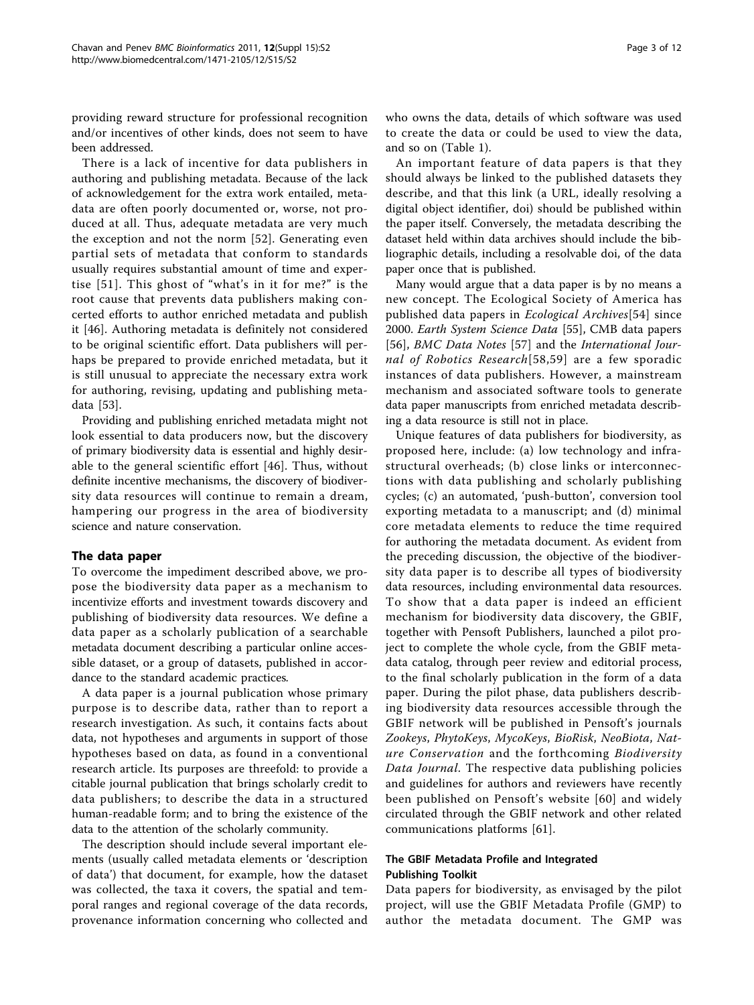providing reward structure for professional recognition and/or incentives of other kinds, does not seem to have been addressed.

There is a lack of incentive for data publishers in authoring and publishing metadata. Because of the lack of acknowledgement for the extra work entailed, metadata are often poorly documented or, worse, not produced at all. Thus, adequate metadata are very much the exception and not the norm [[52\]](#page-11-0). Generating even partial sets of metadata that conform to standards usually requires substantial amount of time and expertise [[51](#page-11-0)]. This ghost of "what's in it for me?" is the root cause that prevents data publishers making concerted efforts to author enriched metadata and publish it [\[46](#page-11-0)]. Authoring metadata is definitely not considered to be original scientific effort. Data publishers will perhaps be prepared to provide enriched metadata, but it is still unusual to appreciate the necessary extra work for authoring, revising, updating and publishing metadata [[53\]](#page-11-0).

Providing and publishing enriched metadata might not look essential to data producers now, but the discovery of primary biodiversity data is essential and highly desirable to the general scientific effort [\[46\]](#page-11-0). Thus, without definite incentive mechanisms, the discovery of biodiversity data resources will continue to remain a dream, hampering our progress in the area of biodiversity science and nature conservation.

## The data paper

To overcome the impediment described above, we propose the biodiversity data paper as a mechanism to incentivize efforts and investment towards discovery and publishing of biodiversity data resources. We define a data paper as a scholarly publication of a searchable metadata document describing a particular online accessible dataset, or a group of datasets, published in accordance to the standard academic practices.

A data paper is a journal publication whose primary purpose is to describe data, rather than to report a research investigation. As such, it contains facts about data, not hypotheses and arguments in support of those hypotheses based on data, as found in a conventional research article. Its purposes are threefold: to provide a citable journal publication that brings scholarly credit to data publishers; to describe the data in a structured human-readable form; and to bring the existence of the data to the attention of the scholarly community.

The description should include several important elements (usually called metadata elements or 'description of data') that document, for example, how the dataset was collected, the taxa it covers, the spatial and temporal ranges and regional coverage of the data records, provenance information concerning who collected and who owns the data, details of which software was used to create the data or could be used to view the data, and so on (Table [1\)](#page-3-0).

An important feature of data papers is that they should always be linked to the published datasets they describe, and that this link (a URL, ideally resolving a digital object identifier, doi) should be published within the paper itself. Conversely, the metadata describing the dataset held within data archives should include the bibliographic details, including a resolvable doi, of the data paper once that is published.

Many would argue that a data paper is by no means a new concept. The Ecological Society of America has published data papers in Ecological Archives[54] since 2000. Earth System Science Data [[55](#page-11-0)], CMB data papers [[56](#page-11-0)], BMC Data Notes [[57\]](#page-11-0) and the International Journal of Robotics Research[58,[59](#page-11-0)] are a few sporadic instances of data publishers. However, a mainstream mechanism and associated software tools to generate data paper manuscripts from enriched metadata describing a data resource is still not in place.

Unique features of data publishers for biodiversity, as proposed here, include: (a) low technology and infrastructural overheads; (b) close links or interconnections with data publishing and scholarly publishing cycles; (c) an automated, 'push-button', conversion tool exporting metadata to a manuscript; and (d) minimal core metadata elements to reduce the time required for authoring the metadata document. As evident from the preceding discussion, the objective of the biodiversity data paper is to describe all types of biodiversity data resources, including environmental data resources. To show that a data paper is indeed an efficient mechanism for biodiversity data discovery, the GBIF, together with Pensoft Publishers, launched a pilot project to complete the whole cycle, from the GBIF metadata catalog, through peer review and editorial process, to the final scholarly publication in the form of a data paper. During the pilot phase, data publishers describing biodiversity data resources accessible through the GBIF network will be published in Pensoft's journals Zookeys, PhytoKeys, MycoKeys, BioRisk, NeoBiota, Nature Conservation and the forthcoming Biodiversity Data Journal. The respective data publishing policies and guidelines for authors and reviewers have recently been published on Pensoft's website [[60\]](#page-11-0) and widely circulated through the GBIF network and other related communications platforms [\[61](#page-11-0)].

## The GBIF Metadata Profile and Integrated Publishing Toolkit

Data papers for biodiversity, as envisaged by the pilot project, will use the GBIF Metadata Profile (GMP) to author the metadata document. The GMP was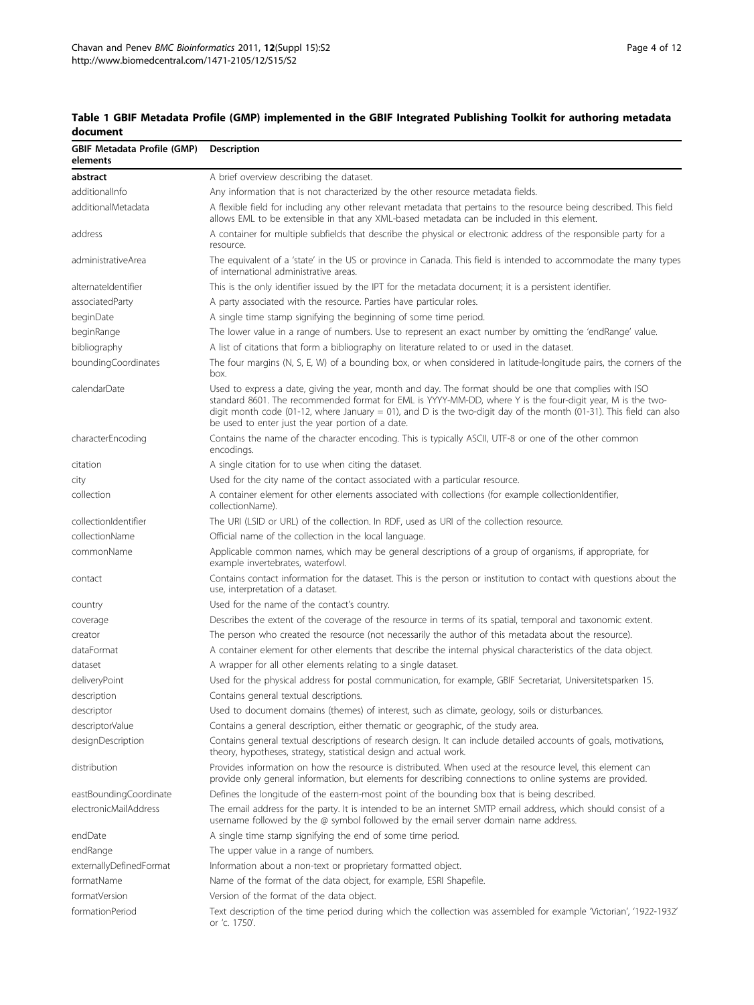| GBIF Metadata Profile (GMP)<br>elements | <b>Description</b>                                                                                                                                                                                                                                                                                                                                                                               |
|-----------------------------------------|--------------------------------------------------------------------------------------------------------------------------------------------------------------------------------------------------------------------------------------------------------------------------------------------------------------------------------------------------------------------------------------------------|
| abstract                                | A brief overview describing the dataset.                                                                                                                                                                                                                                                                                                                                                         |
| additionalInfo                          | Any information that is not characterized by the other resource metadata fields.                                                                                                                                                                                                                                                                                                                 |
| additionalMetadata                      | A flexible field for including any other relevant metadata that pertains to the resource being described. This field<br>allows EML to be extensible in that any XML-based metadata can be included in this element.                                                                                                                                                                              |
| address                                 | A container for multiple subfields that describe the physical or electronic address of the responsible party for a<br>resource.                                                                                                                                                                                                                                                                  |
| administrativeArea                      | The equivalent of a 'state' in the US or province in Canada. This field is intended to accommodate the many types<br>of international administrative areas.                                                                                                                                                                                                                                      |
| alternateldentifier                     | This is the only identifier issued by the IPT for the metadata document; it is a persistent identifier.                                                                                                                                                                                                                                                                                          |
| associatedParty                         | A party associated with the resource. Parties have particular roles.                                                                                                                                                                                                                                                                                                                             |
| beginDate                               | A single time stamp signifying the beginning of some time period.                                                                                                                                                                                                                                                                                                                                |
| beginRange                              | The lower value in a range of numbers. Use to represent an exact number by omitting the 'endRange' value.                                                                                                                                                                                                                                                                                        |
| bibliography                            | A list of citations that form a bibliography on literature related to or used in the dataset.                                                                                                                                                                                                                                                                                                    |
| boundingCoordinates                     | The four margins (N, S, E, W) of a bounding box, or when considered in latitude-longitude pairs, the corners of the<br>box.                                                                                                                                                                                                                                                                      |
| calendarDate                            | Used to express a date, giving the year, month and day. The format should be one that complies with ISO<br>standard 8601. The recommended format for EML is YYYY-MM-DD, where Y is the four-digit year, M is the two-<br>digit month code (01-12, where January = 01), and D is the two-digit day of the month (01-31). This field can also<br>be used to enter just the year portion of a date. |
| characterEncoding                       | Contains the name of the character encoding. This is typically ASCII, UTF-8 or one of the other common<br>encodings.                                                                                                                                                                                                                                                                             |
| citation                                | A single citation for to use when citing the dataset.                                                                                                                                                                                                                                                                                                                                            |
| city                                    | Used for the city name of the contact associated with a particular resource.                                                                                                                                                                                                                                                                                                                     |
| collection                              | A container element for other elements associated with collections (for example collection dentifier,<br>collectionName).                                                                                                                                                                                                                                                                        |
| collectionIdentifier                    | The URI (LSID or URL) of the collection. In RDF, used as URI of the collection resource.                                                                                                                                                                                                                                                                                                         |
| collectionName                          | Official name of the collection in the local language.                                                                                                                                                                                                                                                                                                                                           |
| commonName                              | Applicable common names, which may be general descriptions of a group of organisms, if appropriate, for<br>example invertebrates, waterfowl.                                                                                                                                                                                                                                                     |
| contact                                 | Contains contact information for the dataset. This is the person or institution to contact with questions about the<br>use, interpretation of a dataset.                                                                                                                                                                                                                                         |
| country                                 | Used for the name of the contact's country.                                                                                                                                                                                                                                                                                                                                                      |
| coverage                                | Describes the extent of the coverage of the resource in terms of its spatial, temporal and taxonomic extent.                                                                                                                                                                                                                                                                                     |
| creator                                 | The person who created the resource (not necessarily the author of this metadata about the resource).                                                                                                                                                                                                                                                                                            |
| dataFormat                              | A container element for other elements that describe the internal physical characteristics of the data object.                                                                                                                                                                                                                                                                                   |
| dataset                                 | A wrapper for all other elements relating to a single dataset.                                                                                                                                                                                                                                                                                                                                   |
| deliveryPoint                           | Used for the physical address for postal communication, for example, GBIF Secretariat, Universitetsparken 15.                                                                                                                                                                                                                                                                                    |
| description                             | Contains general textual descriptions.                                                                                                                                                                                                                                                                                                                                                           |
| descriptor                              | Used to document domains (themes) of interest, such as climate, geology, soils or disturbances.                                                                                                                                                                                                                                                                                                  |
| descriptorValue                         | Contains a general description, either thematic or geographic, of the study area.                                                                                                                                                                                                                                                                                                                |
| designDescription                       | Contains general textual descriptions of research design. It can include detailed accounts of goals, motivations,<br>theory, hypotheses, strategy, statistical design and actual work.                                                                                                                                                                                                           |
| distribution                            | Provides information on how the resource is distributed. When used at the resource level, this element can<br>provide only general information, but elements for describing connections to online systems are provided.                                                                                                                                                                          |
| eastBoundingCoordinate                  | Defines the longitude of the eastern-most point of the bounding box that is being described.                                                                                                                                                                                                                                                                                                     |
| electronicMailAddress                   | The email address for the party. It is intended to be an internet SMTP email address, which should consist of a<br>username followed by the $@$ symbol followed by the email server domain name address.                                                                                                                                                                                         |
| endDate                                 | A single time stamp signifying the end of some time period.                                                                                                                                                                                                                                                                                                                                      |
| endRange                                | The upper value in a range of numbers.                                                                                                                                                                                                                                                                                                                                                           |
| externallyDefinedFormat                 | Information about a non-text or proprietary formatted object.                                                                                                                                                                                                                                                                                                                                    |
| formatName                              | Name of the format of the data object, for example, ESRI Shapefile.                                                                                                                                                                                                                                                                                                                              |
| formatVersion                           | Version of the format of the data object.                                                                                                                                                                                                                                                                                                                                                        |
| formationPeriod                         | Text description of the time period during which the collection was assembled for example 'Victorian', '1922-1932'<br>or 'c. 1750'.                                                                                                                                                                                                                                                              |

# <span id="page-3-0"></span>Table 1 GBIF Metadata Profile (GMP) implemented in the GBIF Integrated Publishing Toolkit for authoring metadata document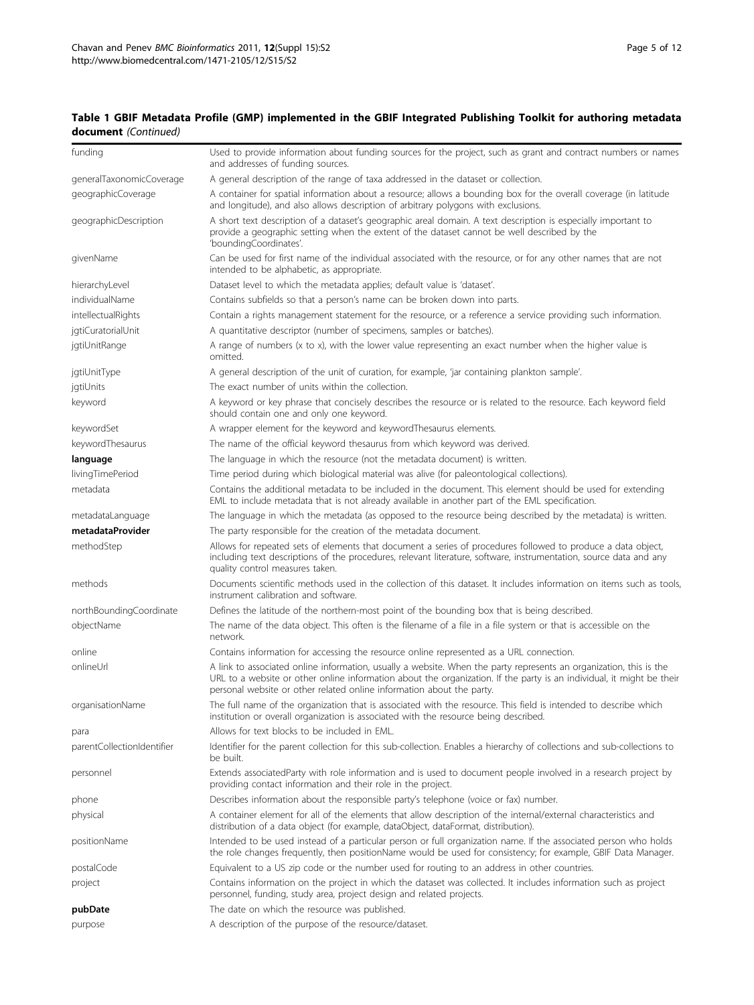# Table 1 GBIF Metadata Profile (GMP) implemented in the GBIF Integrated Publishing Toolkit for authoring metadata document (Continued)

| funding                    | Used to provide information about funding sources for the project, such as grant and contract numbers or names<br>and addresses of funding sources.                                                                                                                                                                  |
|----------------------------|----------------------------------------------------------------------------------------------------------------------------------------------------------------------------------------------------------------------------------------------------------------------------------------------------------------------|
| generalTaxonomicCoverage   | A general description of the range of taxa addressed in the dataset or collection.                                                                                                                                                                                                                                   |
| geographicCoverage         | A container for spatial information about a resource; allows a bounding box for the overall coverage (in latitude<br>and longitude), and also allows description of arbitrary polygons with exclusions.                                                                                                              |
| geographicDescription      | A short text description of a dataset's geographic areal domain. A text description is especially important to<br>provide a geographic setting when the extent of the dataset cannot be well described by the<br>'boundingCoordinates'.                                                                              |
| givenName                  | Can be used for first name of the individual associated with the resource, or for any other names that are not<br>intended to be alphabetic, as appropriate.                                                                                                                                                         |
| hierarchyLevel             | Dataset level to which the metadata applies; default value is 'dataset'.                                                                                                                                                                                                                                             |
| individualName             | Contains subfields so that a person's name can be broken down into parts.                                                                                                                                                                                                                                            |
| intellectualRights         | Contain a rights management statement for the resource, or a reference a service providing such information.                                                                                                                                                                                                         |
| jgtiCuratorialUnit         | A quantitative descriptor (number of specimens, samples or batches).                                                                                                                                                                                                                                                 |
| jgtiUnitRange              | A range of numbers (x to x), with the lower value representing an exact number when the higher value is<br>omitted.                                                                                                                                                                                                  |
| jgtiUnitType               | A general description of the unit of curation, for example, 'jar containing plankton sample'.                                                                                                                                                                                                                        |
| jątiUnits                  | The exact number of units within the collection.                                                                                                                                                                                                                                                                     |
| keyword                    | A keyword or key phrase that concisely describes the resource or is related to the resource. Each keyword field<br>should contain one and only one keyword.                                                                                                                                                          |
| keywordSet                 | A wrapper element for the keyword and keywordThesaurus elements.                                                                                                                                                                                                                                                     |
| keywordThesaurus           | The name of the official keyword thesaurus from which keyword was derived.                                                                                                                                                                                                                                           |
| language                   | The language in which the resource (not the metadata document) is written.                                                                                                                                                                                                                                           |
| livingTimePeriod           | Time period during which biological material was alive (for paleontological collections).                                                                                                                                                                                                                            |
| metadata                   | Contains the additional metadata to be included in the document. This element should be used for extending<br>EML to include metadata that is not already available in another part of the EML specification.                                                                                                        |
| metadataLanguage           | The language in which the metadata (as opposed to the resource being described by the metadata) is written.                                                                                                                                                                                                          |
| metadataProvider           | The party responsible for the creation of the metadata document.                                                                                                                                                                                                                                                     |
| methodStep                 | Allows for repeated sets of elements that document a series of procedures followed to produce a data object,<br>including text descriptions of the procedures, relevant literature, software, instrumentation, source data and any<br>quality control measures taken.                                                |
| methods                    | Documents scientific methods used in the collection of this dataset. It includes information on items such as tools,<br>instrument calibration and software.                                                                                                                                                         |
| northBoundingCoordinate    | Defines the latitude of the northern-most point of the bounding box that is being described.                                                                                                                                                                                                                         |
| objectName                 | The name of the data object. This often is the filename of a file in a file system or that is accessible on the<br>network.                                                                                                                                                                                          |
| online                     | Contains information for accessing the resource online represented as a URL connection.                                                                                                                                                                                                                              |
| onlineUrl                  | A link to associated online information, usually a website. When the party represents an organization, this is the<br>URL to a website or other online information about the organization. If the party is an individual, it might be their<br>personal website or other related online information about the party. |
| organisationName           | The full name of the organization that is associated with the resource. This field is intended to describe which<br>institution or overall organization is associated with the resource being described.                                                                                                             |
| para                       | Allows for text blocks to be included in EML.                                                                                                                                                                                                                                                                        |
| parentCollectionIdentifier | Identifier for the parent collection for this sub-collection. Enables a hierarchy of collections and sub-collections to<br>be built.                                                                                                                                                                                 |
| personnel                  | Extends associatedParty with role information and is used to document people involved in a research project by<br>providing contact information and their role in the project.                                                                                                                                       |
| phone                      | Describes information about the responsible party's telephone (voice or fax) number.                                                                                                                                                                                                                                 |
| physical                   | A container element for all of the elements that allow description of the internal/external characteristics and<br>distribution of a data object (for example, dataObject, dataFormat, distribution).                                                                                                                |
| positionName               | Intended to be used instead of a particular person or full organization name. If the associated person who holds<br>the role changes frequently, then positionName would be used for consistency; for example, GBIF Data Manager.                                                                                    |
| postalCode                 | Equivalent to a US zip code or the number used for routing to an address in other countries.                                                                                                                                                                                                                         |
| project                    | Contains information on the project in which the dataset was collected. It includes information such as project<br>personnel, funding, study area, project design and related projects.                                                                                                                              |
| pubDate                    | The date on which the resource was published.                                                                                                                                                                                                                                                                        |
| purpose                    | A description of the purpose of the resource/dataset.                                                                                                                                                                                                                                                                |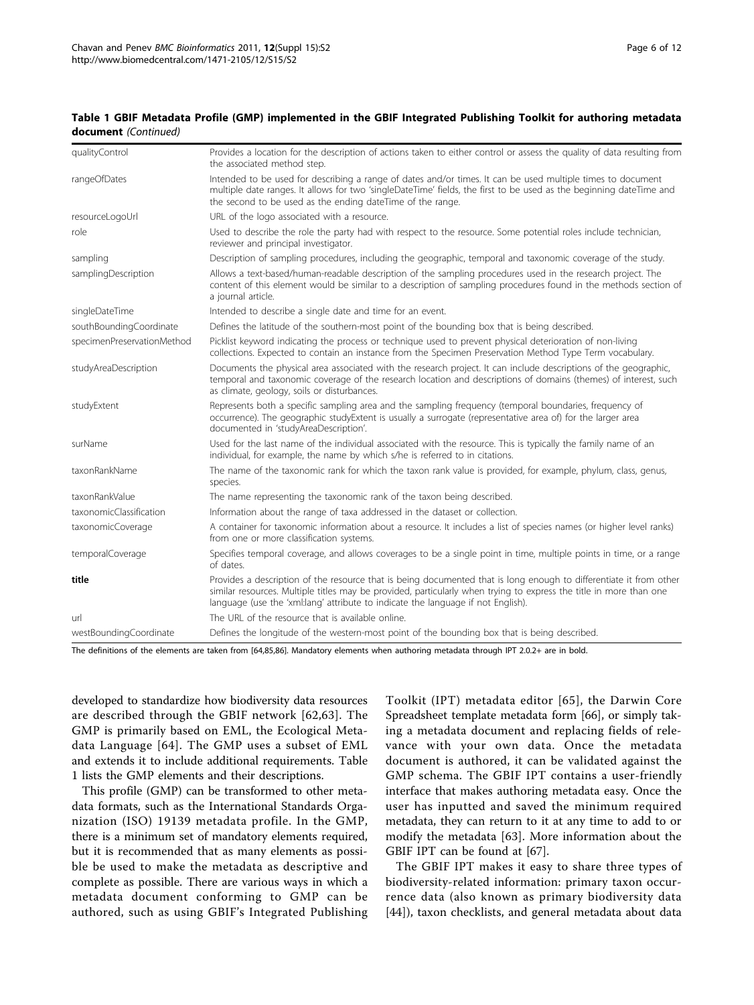## Table 1 GBIF Metadata Profile (GMP) implemented in the GBIF Integrated Publishing Toolkit for authoring metadata document (Continued)

| qualityControl             | Provides a location for the description of actions taken to either control or assess the quality of data resulting from<br>the associated method step.                                                                                                                                                                       |
|----------------------------|------------------------------------------------------------------------------------------------------------------------------------------------------------------------------------------------------------------------------------------------------------------------------------------------------------------------------|
| rangeOfDates               | Intended to be used for describing a range of dates and/or times. It can be used multiple times to document<br>multiple date ranges. It allows for two 'singleDateTime' fields, the first to be used as the beginning dateTime and<br>the second to be used as the ending dateTime of the range.                             |
| resourceLogoUrl            | URL of the logo associated with a resource.                                                                                                                                                                                                                                                                                  |
| role                       | Used to describe the role the party had with respect to the resource. Some potential roles include technician,<br>reviewer and principal investigator.                                                                                                                                                                       |
| sampling                   | Description of sampling procedures, including the geographic, temporal and taxonomic coverage of the study.                                                                                                                                                                                                                  |
| samplingDescription        | Allows a text-based/human-readable description of the sampling procedures used in the research project. The<br>content of this element would be similar to a description of sampling procedures found in the methods section of<br>a journal article.                                                                        |
| singleDateTime             | Intended to describe a single date and time for an event.                                                                                                                                                                                                                                                                    |
| southBoundingCoordinate    | Defines the latitude of the southern-most point of the bounding box that is being described.                                                                                                                                                                                                                                 |
| specimenPreservationMethod | Picklist keyword indicating the process or technique used to prevent physical deterioration of non-living<br>collections. Expected to contain an instance from the Specimen Preservation Method Type Term vocabulary.                                                                                                        |
| studyAreaDescription       | Documents the physical area associated with the research project. It can include descriptions of the geographic,<br>temporal and taxonomic coverage of the research location and descriptions of domains (themes) of interest, such<br>as climate, geology, soils or disturbances.                                           |
| studyExtent                | Represents both a specific sampling area and the sampling frequency (temporal boundaries, frequency of<br>occurrence). The geographic studyExtent is usually a surrogate (representative area of) for the larger area<br>documented in 'studyAreaDescription'.                                                               |
| surName                    | Used for the last name of the individual associated with the resource. This is typically the family name of an<br>individual, for example, the name by which s/he is referred to in citations.                                                                                                                               |
| taxonRankName              | The name of the taxonomic rank for which the taxon rank value is provided, for example, phylum, class, genus,<br>species.                                                                                                                                                                                                    |
| taxonRankValue             | The name representing the taxonomic rank of the taxon being described.                                                                                                                                                                                                                                                       |
| taxonomicClassification    | Information about the range of taxa addressed in the dataset or collection.                                                                                                                                                                                                                                                  |
| taxonomicCoverage          | A container for taxonomic information about a resource. It includes a list of species names (or higher level ranks)<br>from one or more classification systems.                                                                                                                                                              |
| temporalCoverage           | Specifies temporal coverage, and allows coverages to be a single point in time, multiple points in time, or a range<br>of dates.                                                                                                                                                                                             |
| title                      | Provides a description of the resource that is being documented that is long enough to differentiate it from other<br>similar resources. Multiple titles may be provided, particularly when trying to express the title in more than one<br>language (use the 'xml:lang' attribute to indicate the language if not English). |
| url                        | The URL of the resource that is available online.                                                                                                                                                                                                                                                                            |
| westBoundingCoordinate     | Defines the longitude of the western-most point of the bounding box that is being described.                                                                                                                                                                                                                                 |

The definitions of the elements are taken from [\[64,85](#page-11-0),[86\]](#page-11-0). Mandatory elements when authoring metadata through IPT 2.0.2+ are in bold.

developed to standardize how biodiversity data resources are described through the GBIF network [\[62,63](#page-11-0)]. The GMP is primarily based on EML, the Ecological Metadata Language [[64](#page-11-0)]. The GMP uses a subset of EML and extends it to include additional requirements. Table [1](#page-3-0) lists the GMP elements and their descriptions.

This profile (GMP) can be transformed to other metadata formats, such as the International Standards Organization (ISO) 19139 metadata profile. In the GMP, there is a minimum set of mandatory elements required, but it is recommended that as many elements as possible be used to make the metadata as descriptive and complete as possible. There are various ways in which a metadata document conforming to GMP can be authored, such as using GBIF's Integrated Publishing

Toolkit (IPT) metadata editor [\[65\]](#page-11-0), the Darwin Core Spreadsheet template metadata form [\[66\]](#page-11-0), or simply taking a metadata document and replacing fields of relevance with your own data. Once the metadata document is authored, it can be validated against the GMP schema. The GBIF IPT contains a user-friendly interface that makes authoring metadata easy. Once the user has inputted and saved the minimum required metadata, they can return to it at any time to add to or modify the metadata [\[63](#page-11-0)]. More information about the GBIF IPT can be found at [[67\]](#page-11-0).

The GBIF IPT makes it easy to share three types of biodiversity-related information: primary taxon occurrence data (also known as primary biodiversity data [[44\]](#page-11-0)), taxon checklists, and general metadata about data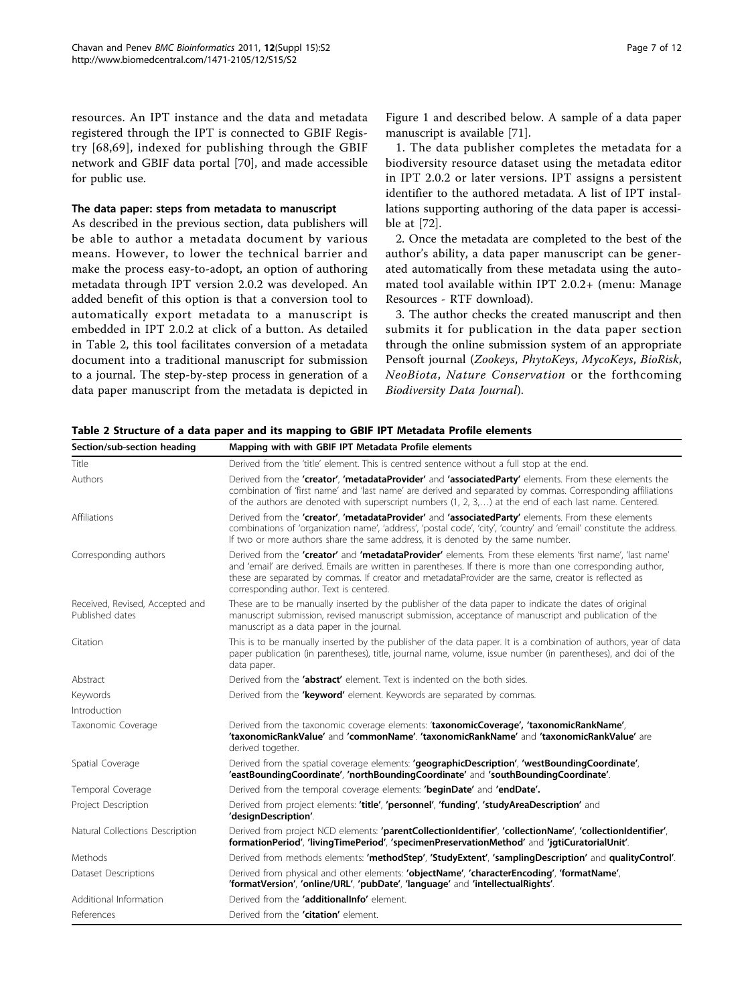resources. An IPT instance and the data and metadata registered through the IPT is connected to GBIF Registry [[68](#page-11-0),[69](#page-11-0)], indexed for publishing through the GBIF network and GBIF data portal [\[70](#page-11-0)], and made accessible for public use.

## The data paper: steps from metadata to manuscript

As described in the previous section, data publishers will be able to author a metadata document by various means. However, to lower the technical barrier and make the process easy-to-adopt, an option of authoring metadata through IPT version 2.0.2 was developed. An added benefit of this option is that a conversion tool to automatically export metadata to a manuscript is embedded in IPT 2.0.2 at click of a button. As detailed in Table 2, this tool facilitates conversion of a metadata document into a traditional manuscript for submission to a journal. The step-by-step process in generation of a data paper manuscript from the metadata is depicted in Figure [1](#page-7-0) and described below. A sample of a data paper manuscript is available [[71](#page-11-0)].

1. The data publisher completes the metadata for a biodiversity resource dataset using the metadata editor in IPT 2.0.2 or later versions. IPT assigns a persistent identifier to the authored metadata. A list of IPT installations supporting authoring of the data paper is accessible at [[72\]](#page-11-0).

2. Once the metadata are completed to the best of the author's ability, a data paper manuscript can be generated automatically from these metadata using the automated tool available within IPT 2.0.2+ (menu: Manage Resources - RTF download).

3. The author checks the created manuscript and then submits it for publication in the data paper section through the online submission system of an appropriate Pensoft journal (Zookeys, PhytoKeys, MycoKeys, BioRisk, NeoBiota, Nature Conservation or the forthcoming Biodiversity Data Journal).

Table 2 Structure of a data paper and its mapping to GBIF IPT Metadata Profile elements

| Section/sub-section heading                        | Mapping with with GBIF IPT Metadata Profile elements                                                                                                                                                                                                                                                                                                                        |
|----------------------------------------------------|-----------------------------------------------------------------------------------------------------------------------------------------------------------------------------------------------------------------------------------------------------------------------------------------------------------------------------------------------------------------------------|
| Title                                              | Derived from the 'title' element. This is centred sentence without a full stop at the end.                                                                                                                                                                                                                                                                                  |
| Authors                                            | Derived from the <b>'creator', 'metadataProvider'</b> and <b>'associatedParty'</b> elements. From these elements the<br>combination of 'first name' and 'last name' are derived and separated by commas. Corresponding affiliations<br>of the authors are denoted with superscript numbers (1, 2, 3,) at the end of each last name. Centered.                               |
| Affiliations                                       | Derived from the 'creator', 'metadataProvider' and 'associatedParty' elements. From these elements<br>combinations of 'organization name', 'address', 'postal code', 'city', 'country' and 'email' constitute the address.<br>If two or more authors share the same address, it is denoted by the same number.                                                              |
| Corresponding authors                              | Derived from the 'creator' and 'metadataProvider' elements. From these elements 'first name', 'last name'<br>and 'email' are derived. Emails are written in parentheses. If there is more than one corresponding author,<br>these are separated by commas. If creator and metadataProvider are the same, creator is reflected as<br>corresponding author. Text is centered. |
| Received, Revised, Accepted and<br>Published dates | These are to be manually inserted by the publisher of the data paper to indicate the dates of original<br>manuscript submission, revised manuscript submission, acceptance of manuscript and publication of the<br>manuscript as a data paper in the journal.                                                                                                               |
| Citation                                           | This is to be manually inserted by the publisher of the data paper. It is a combination of authors, year of data<br>paper publication (in parentheses), title, journal name, volume, issue number (in parentheses), and doi of the<br>data paper.                                                                                                                           |
| Abstract                                           | Derived from the 'abstract' element. Text is indented on the both sides.                                                                                                                                                                                                                                                                                                    |
| Keywords                                           | Derived from the 'keyword' element. Keywords are separated by commas.                                                                                                                                                                                                                                                                                                       |
| Introduction                                       |                                                                                                                                                                                                                                                                                                                                                                             |
| Taxonomic Coverage                                 | Derived from the taxonomic coverage elements: 'taxonomicCoverage', 'taxonomicRankName',<br>'taxonomicRankValue' and 'commonName', 'taxonomicRankName' and 'taxonomicRankValue' are<br>derived together.                                                                                                                                                                     |
| Spatial Coverage                                   | Derived from the spatial coverage elements: 'geographicDescription', 'westBoundingCoordinate',<br>'eastBoundingCoordinate', 'northBoundingCoordinate' and 'southBoundingCoordinate'.                                                                                                                                                                                        |
| Temporal Coverage                                  | Derived from the temporal coverage elements: 'beginDate' and 'endDate'.                                                                                                                                                                                                                                                                                                     |
| Project Description                                | Derived from project elements: 'title', 'personnel', 'funding', 'studyAreaDescription' and<br>'designDescription'.                                                                                                                                                                                                                                                          |
| Natural Collections Description                    | Derived from project NCD elements: 'parentCollectionIdentifier', 'collectionName', 'collectionIdentifier',<br>formationPeriod', 'livingTimePeriod', 'specimenPreservationMethod' and 'jqtiCuratorialUnit'.                                                                                                                                                                  |
| Methods                                            | Derived from methods elements: 'methodStep', 'StudyExtent', 'samplingDescription' and qualityControl'.                                                                                                                                                                                                                                                                      |
| <b>Dataset Descriptions</b>                        | Derived from physical and other elements: 'objectName', 'characterEncoding', 'formatName',<br>'formatVersion', 'online/URL', 'pubDate', 'language' and 'intellectualRights'.                                                                                                                                                                                                |
| Additional Information                             | Derived from the <b>'additionalInfo'</b> element.                                                                                                                                                                                                                                                                                                                           |
| References                                         | Derived from the <b>'citation'</b> element.                                                                                                                                                                                                                                                                                                                                 |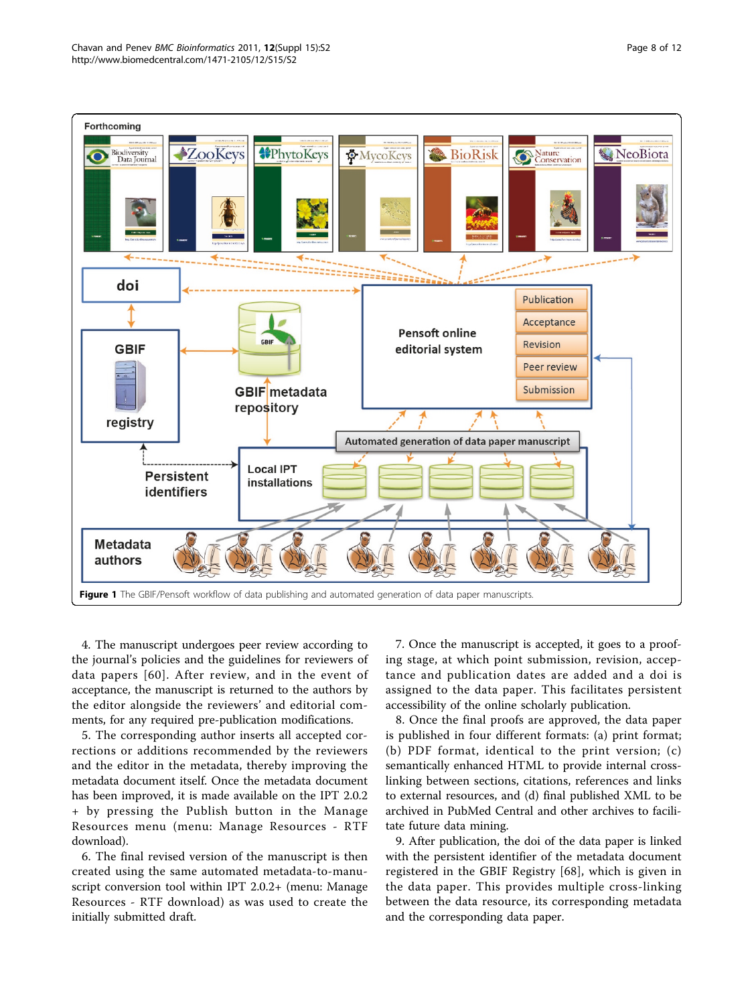<span id="page-7-0"></span>

4. The manuscript undergoes peer review according to the journal's policies and the guidelines for reviewers of data papers [[60\]](#page-11-0). After review, and in the event of acceptance, the manuscript is returned to the authors by the editor alongside the reviewers' and editorial comments, for any required pre-publication modifications.

5. The corresponding author inserts all accepted corrections or additions recommended by the reviewers and the editor in the metadata, thereby improving the metadata document itself. Once the metadata document has been improved, it is made available on the IPT 2.0.2 + by pressing the Publish button in the Manage Resources menu (menu: Manage Resources - RTF download).

6. The final revised version of the manuscript is then created using the same automated metadata-to-manuscript conversion tool within IPT 2.0.2+ (menu: Manage Resources - RTF download) as was used to create the initially submitted draft.

7. Once the manuscript is accepted, it goes to a proofing stage, at which point submission, revision, acceptance and publication dates are added and a doi is assigned to the data paper. This facilitates persistent accessibility of the online scholarly publication.

8. Once the final proofs are approved, the data paper is published in four different formats: (a) print format; (b) PDF format, identical to the print version; (c) semantically enhanced HTML to provide internal crosslinking between sections, citations, references and links to external resources, and (d) final published XML to be archived in PubMed Central and other archives to facilitate future data mining.

9. After publication, the doi of the data paper is linked with the persistent identifier of the metadata document registered in the GBIF Registry [[68](#page-11-0)], which is given in the data paper. This provides multiple cross-linking between the data resource, its corresponding metadata and the corresponding data paper.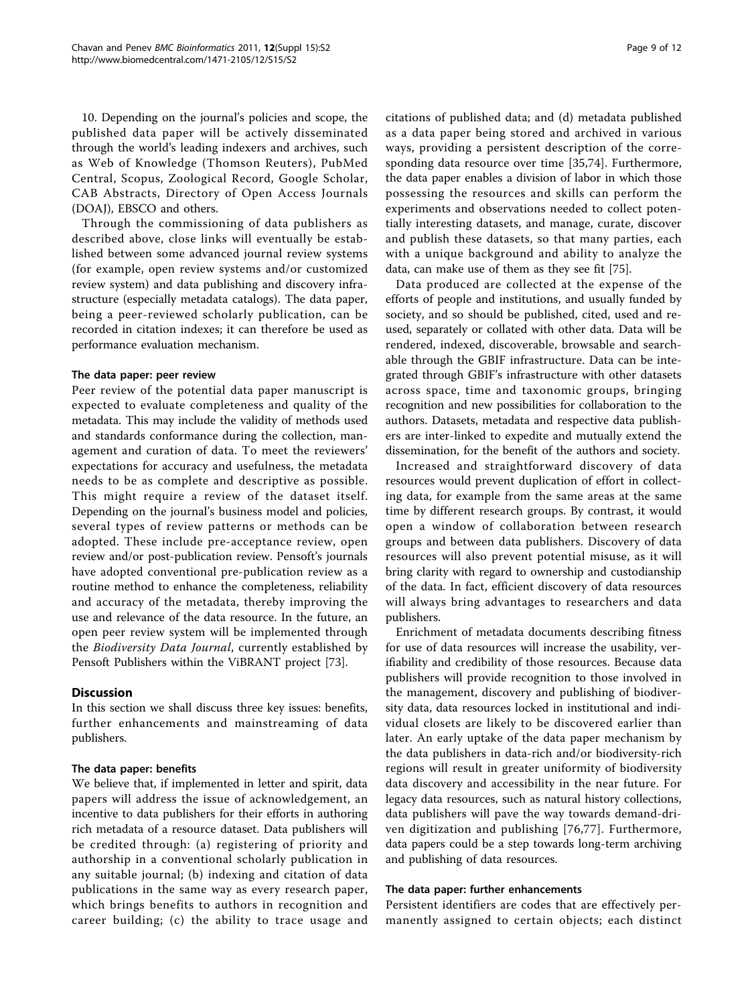10. Depending on the journal's policies and scope, the published data paper will be actively disseminated through the world's leading indexers and archives, such as Web of Knowledge (Thomson Reuters), PubMed Central, Scopus, Zoological Record, Google Scholar, CAB Abstracts, Directory of Open Access Journals (DOAJ), EBSCO and others.

Through the commissioning of data publishers as described above, close links will eventually be established between some advanced journal review systems (for example, open review systems and/or customized review system) and data publishing and discovery infrastructure (especially metadata catalogs). The data paper, being a peer-reviewed scholarly publication, can be recorded in citation indexes; it can therefore be used as performance evaluation mechanism.

## The data paper: peer review

Peer review of the potential data paper manuscript is expected to evaluate completeness and quality of the metadata. This may include the validity of methods used and standards conformance during the collection, management and curation of data. To meet the reviewers' expectations for accuracy and usefulness, the metadata needs to be as complete and descriptive as possible. This might require a review of the dataset itself. Depending on the journal's business model and policies, several types of review patterns or methods can be adopted. These include pre-acceptance review, open review and/or post-publication review. Pensoft's journals have adopted conventional pre-publication review as a routine method to enhance the completeness, reliability and accuracy of the metadata, thereby improving the use and relevance of the data resource. In the future, an open peer review system will be implemented through the Biodiversity Data Journal, currently established by Pensoft Publishers within the ViBRANT project [[73\]](#page-11-0).

#### **Discussion**

In this section we shall discuss three key issues: benefits, further enhancements and mainstreaming of data publishers.

#### The data paper: benefits

We believe that, if implemented in letter and spirit, data papers will address the issue of acknowledgement, an incentive to data publishers for their efforts in authoring rich metadata of a resource dataset. Data publishers will be credited through: (a) registering of priority and authorship in a conventional scholarly publication in any suitable journal; (b) indexing and citation of data publications in the same way as every research paper, which brings benefits to authors in recognition and career building; (c) the ability to trace usage and citations of published data; and (d) metadata published as a data paper being stored and archived in various ways, providing a persistent description of the corresponding data resource over time [\[35](#page-10-0),[74\]](#page-11-0). Furthermore, the data paper enables a division of labor in which those possessing the resources and skills can perform the experiments and observations needed to collect potentially interesting datasets, and manage, curate, discover and publish these datasets, so that many parties, each with a unique background and ability to analyze the data, can make use of them as they see fit [\[75\]](#page-11-0).

Data produced are collected at the expense of the efforts of people and institutions, and usually funded by society, and so should be published, cited, used and reused, separately or collated with other data. Data will be rendered, indexed, discoverable, browsable and searchable through the GBIF infrastructure. Data can be integrated through GBIF's infrastructure with other datasets across space, time and taxonomic groups, bringing recognition and new possibilities for collaboration to the authors. Datasets, metadata and respective data publishers are inter-linked to expedite and mutually extend the dissemination, for the benefit of the authors and society.

Increased and straightforward discovery of data resources would prevent duplication of effort in collecting data, for example from the same areas at the same time by different research groups. By contrast, it would open a window of collaboration between research groups and between data publishers. Discovery of data resources will also prevent potential misuse, as it will bring clarity with regard to ownership and custodianship of the data. In fact, efficient discovery of data resources will always bring advantages to researchers and data publishers.

Enrichment of metadata documents describing fitness for use of data resources will increase the usability, verifiability and credibility of those resources. Because data publishers will provide recognition to those involved in the management, discovery and publishing of biodiversity data, data resources locked in institutional and individual closets are likely to be discovered earlier than later. An early uptake of the data paper mechanism by the data publishers in data-rich and/or biodiversity-rich regions will result in greater uniformity of biodiversity data discovery and accessibility in the near future. For legacy data resources, such as natural history collections, data publishers will pave the way towards demand-driven digitization and publishing [\[76,77\]](#page-11-0). Furthermore, data papers could be a step towards long-term archiving and publishing of data resources.

#### The data paper: further enhancements

Persistent identifiers are codes that are effectively permanently assigned to certain objects; each distinct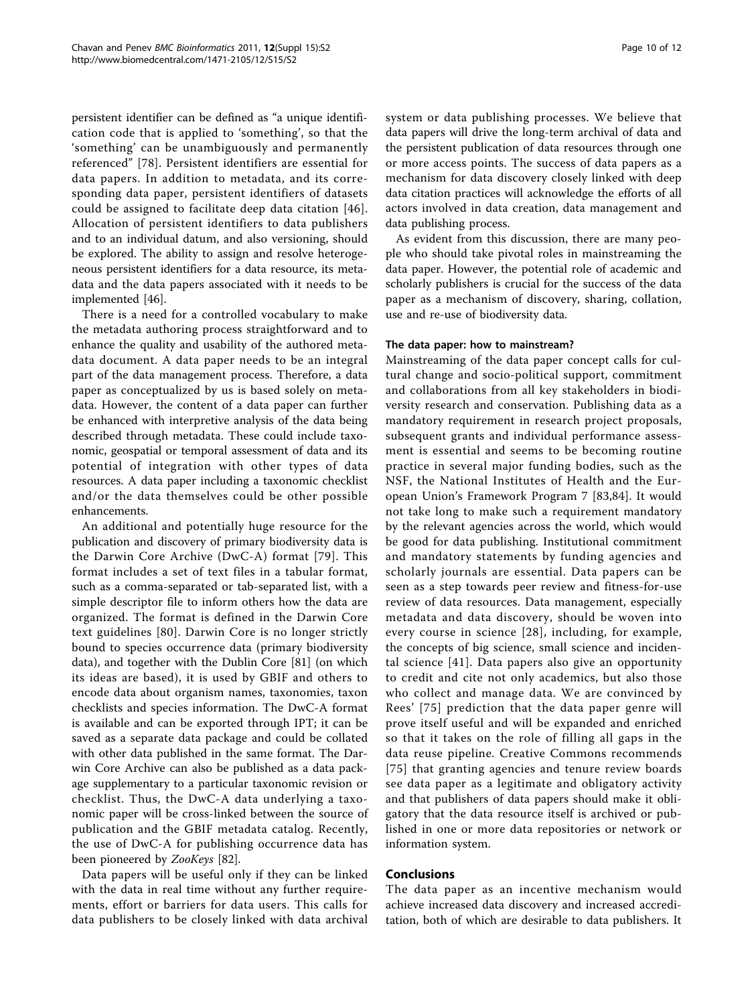persistent identifier can be defined as "a unique identification code that is applied to 'something', so that the 'something' can be unambiguously and permanently referenced" [[78](#page-11-0)]. Persistent identifiers are essential for data papers. In addition to metadata, and its corresponding data paper, persistent identifiers of datasets could be assigned to facilitate deep data citation [[46](#page-11-0)]. Allocation of persistent identifiers to data publishers and to an individual datum, and also versioning, should be explored. The ability to assign and resolve heterogeneous persistent identifiers for a data resource, its metadata and the data papers associated with it needs to be implemented [[46](#page-11-0)].

There is a need for a controlled vocabulary to make the metadata authoring process straightforward and to enhance the quality and usability of the authored metadata document. A data paper needs to be an integral part of the data management process. Therefore, a data paper as conceptualized by us is based solely on metadata. However, the content of a data paper can further be enhanced with interpretive analysis of the data being described through metadata. These could include taxonomic, geospatial or temporal assessment of data and its potential of integration with other types of data resources. A data paper including a taxonomic checklist and/or the data themselves could be other possible enhancements.

An additional and potentially huge resource for the publication and discovery of primary biodiversity data is the Darwin Core Archive (DwC-A) format [\[79\]](#page-11-0). This format includes a set of text files in a tabular format, such as a comma-separated or tab-separated list, with a simple descriptor file to inform others how the data are organized. The format is defined in the Darwin Core text guidelines [[80](#page-11-0)]. Darwin Core is no longer strictly bound to species occurrence data (primary biodiversity data), and together with the Dublin Core [[81\]](#page-11-0) (on which its ideas are based), it is used by GBIF and others to encode data about organism names, taxonomies, taxon checklists and species information. The DwC-A format is available and can be exported through IPT; it can be saved as a separate data package and could be collated with other data published in the same format. The Darwin Core Archive can also be published as a data package supplementary to a particular taxonomic revision or checklist. Thus, the DwC-A data underlying a taxonomic paper will be cross-linked between the source of publication and the GBIF metadata catalog. Recently, the use of DwC-A for publishing occurrence data has been pioneered by ZooKeys [\[82\]](#page-11-0).

Data papers will be useful only if they can be linked with the data in real time without any further requirements, effort or barriers for data users. This calls for data publishers to be closely linked with data archival system or data publishing processes. We believe that data papers will drive the long-term archival of data and the persistent publication of data resources through one or more access points. The success of data papers as a mechanism for data discovery closely linked with deep data citation practices will acknowledge the efforts of all actors involved in data creation, data management and data publishing process.

As evident from this discussion, there are many people who should take pivotal roles in mainstreaming the data paper. However, the potential role of academic and scholarly publishers is crucial for the success of the data paper as a mechanism of discovery, sharing, collation, use and re-use of biodiversity data.

## The data paper: how to mainstream?

Mainstreaming of the data paper concept calls for cultural change and socio-political support, commitment and collaborations from all key stakeholders in biodiversity research and conservation. Publishing data as a mandatory requirement in research project proposals, subsequent grants and individual performance assessment is essential and seems to be becoming routine practice in several major funding bodies, such as the NSF, the National Institutes of Health and the European Union's Framework Program 7 [\[83](#page-11-0),[84\]](#page-11-0). It would not take long to make such a requirement mandatory by the relevant agencies across the world, which would be good for data publishing. Institutional commitment and mandatory statements by funding agencies and scholarly journals are essential. Data papers can be seen as a step towards peer review and fitness-for-use review of data resources. Data management, especially metadata and data discovery, should be woven into every course in science [[28](#page-10-0)], including, for example, the concepts of big science, small science and incidental science [\[41\]](#page-11-0). Data papers also give an opportunity to credit and cite not only academics, but also those who collect and manage data. We are convinced by Rees' [[75\]](#page-11-0) prediction that the data paper genre will prove itself useful and will be expanded and enriched so that it takes on the role of filling all gaps in the data reuse pipeline. Creative Commons recommends [[75\]](#page-11-0) that granting agencies and tenure review boards see data paper as a legitimate and obligatory activity and that publishers of data papers should make it obligatory that the data resource itself is archived or published in one or more data repositories or network or information system.

## Conclusions

The data paper as an incentive mechanism would achieve increased data discovery and increased accreditation, both of which are desirable to data publishers. It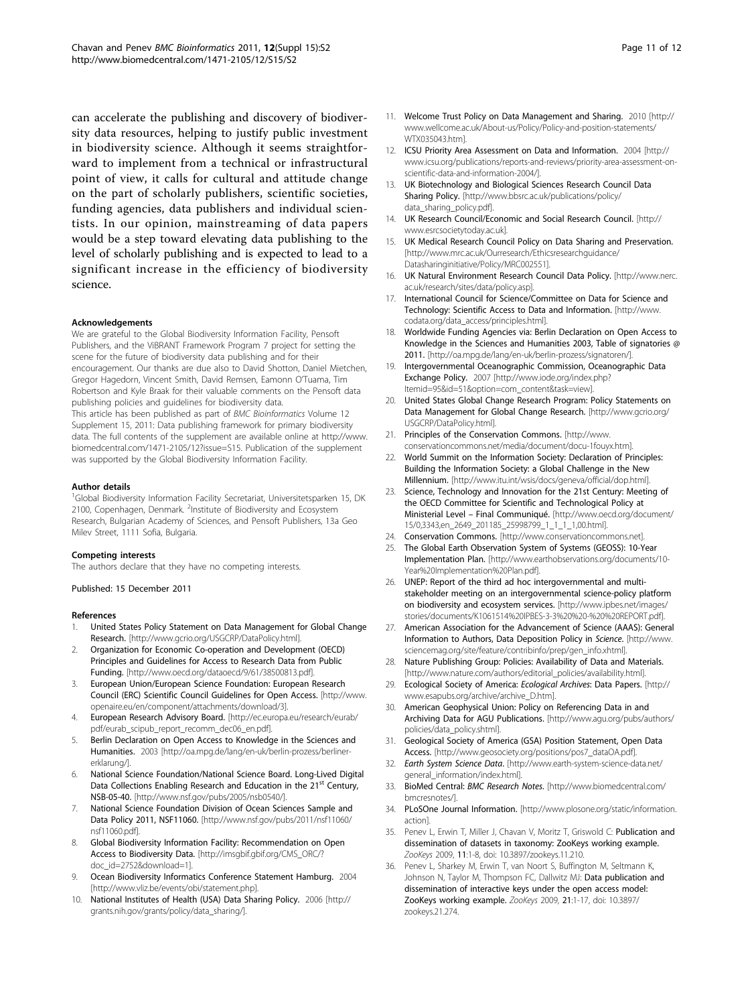<span id="page-10-0"></span>can accelerate the publishing and discovery of biodiversity data resources, helping to justify public investment in biodiversity science. Although it seems straightforward to implement from a technical or infrastructural point of view, it calls for cultural and attitude change on the part of scholarly publishers, scientific societies, funding agencies, data publishers and individual scientists. In our opinion, mainstreaming of data papers would be a step toward elevating data publishing to the level of scholarly publishing and is expected to lead to a significant increase in the efficiency of biodiversity science.

#### Acknowledgements

We are grateful to the Global Biodiversity Information Facility, Pensoft Publishers, and the ViBRANT Framework Program 7 project for setting the scene for the future of biodiversity data publishing and for their encouragement. Our thanks are due also to David Shotton, Daniel Mietchen, Gregor Hagedorn, Vincent Smith, David Remsen, Eamonn O'Tuama, Tim Robertson and Kyle Braak for their valuable comments on the Pensoft data publishing policies and guidelines for biodiversity data. This article has been published as part of BMC Bioinformatics Volume 12 Supplement 15, 2011: Data publishing framework for primary biodiversity data. The full contents of the supplement are available online at [http://www.](http://www.biomedcentral.com/1471-2105/12?issue=S15) [biomedcentral.com/1471-2105/12?issue=S15](http://www.biomedcentral.com/1471-2105/12?issue=S15). Publication of the supplement was supported by the Global Biodiversity Information Facility.

#### Author details

<sup>1</sup>Global Biodiversity Information Facility Secretariat, Universitetsparken 15, DK 2100, Copenhagen, Denmark. <sup>2</sup>Institute of Biodiversity and Ecosystem Research, Bulgarian Academy of Sciences, and Pensoft Publishers, 13a Geo Milev Street, 1111 Sofia, Bulgaria.

#### Competing interests

The authors declare that they have no competing interests.

#### Published: 15 December 2011

#### References

- 1. United States Policy Statement on Data Management for Global Change Research. [<http://www.gcrio.org/USGCRP/DataPolicy.html>].
- 2. Organization for Economic Co-operation and Development (OECD) Principles and Guidelines for Access to Research Data from Public Funding. [[http://www.oecd.org/dataoecd/9/61/38500813.pdf\]](http://www.oecd.org/dataoecd/9/61/38500813.pdf).
- 3. European Union/European Science Foundation: European Research Council (ERC) Scientific Council Guidelines for Open Access. [\[http://www.](http://www.openaire.eu/en/component/attachments/download/3) [openaire.eu/en/component/attachments/download/3\]](http://www.openaire.eu/en/component/attachments/download/3).
- 4. European Research Advisory Board. [\[http://ec.europa.eu/research/eurab/](http://ec.europa.eu/research/eurab/pdf/eurab_scipub_report_recomm_dec06_en.pdf) [pdf/eurab\\_scipub\\_report\\_recomm\\_dec06\\_en.pdf](http://ec.europa.eu/research/eurab/pdf/eurab_scipub_report_recomm_dec06_en.pdf)].
- 5. Berlin Declaration on Open Access to Knowledge in the Sciences and Humanities. 2003 [\[http://oa.mpg.de/lang/en-uk/berlin-prozess/berliner](http://oa.mpg.de/lang/en-uk/berlin-prozess/berliner-erklarung/)[erklarung/\]](http://oa.mpg.de/lang/en-uk/berlin-prozess/berliner-erklarung/).
- 6. National Science Foundation/National Science Board. Long-Lived Digital Data Collections Enabling Research and Education in the 21<sup>st</sup> Century, NSB-05-40. [[http://www.nsf.gov/pubs/2005/nsb0540/\]](http://www.nsf.gov/pubs/2005/nsb0540/).
- 7. National Science Foundation Division of Ocean Sciences Sample and Data Policy 2011, NSF11060. [[http://www.nsf.gov/pubs/2011/nsf11060/](http://www.nsf.gov/pubs/2011/nsf11060/nsf11060.pdf) [nsf11060.pdf\]](http://www.nsf.gov/pubs/2011/nsf11060/nsf11060.pdf).
- Global Biodiversity Information Facility: Recommendation on Open Access to Biodiversity Data. [\[http://imsgbif.gbif.org/CMS\\_ORC/?](http://imsgbif.gbif.org/CMS_ORC/?doc_id=2752&download=1) [doc\\_id=2752&download=1](http://imsgbif.gbif.org/CMS_ORC/?doc_id=2752&download=1)].
- 9. Ocean Biodiversity Informatics Conference Statement Hamburg. 2004 [\[http://www.vliz.be/events/obi/statement.php](http://www.vliz.be/events/obi/statement.php)].
- 10. National Institutes of Health (USA) Data Sharing Policy. 2006 [\[http://](http://grants.nih.gov/grants/policy/data_sharing/) [grants.nih.gov/grants/policy/data\\_sharing/](http://grants.nih.gov/grants/policy/data_sharing/)].
- 11. Welcome Trust Policy on Data Management and Sharing. 2010 [[http://](http://www.wellcome.ac.uk/About-us/Policy/Policy-and-position-statements/WTX035043.htm) [www.wellcome.ac.uk/About-us/Policy/Policy-and-position-statements/](http://www.wellcome.ac.uk/About-us/Policy/Policy-and-position-statements/WTX035043.htm) [WTX035043.htm\]](http://www.wellcome.ac.uk/About-us/Policy/Policy-and-position-statements/WTX035043.htm).
- 12. ICSU Priority Area Assessment on Data and Information. 2004 [[http://](http://www.icsu.org/publications/reports-and-reviews/priority-area-assessment-on-scientific-data-and-information-2004/) [www.icsu.org/publications/reports-and-reviews/priority-area-assessment-on](http://www.icsu.org/publications/reports-and-reviews/priority-area-assessment-on-scientific-data-and-information-2004/)[scientific-data-and-information-2004/\]](http://www.icsu.org/publications/reports-and-reviews/priority-area-assessment-on-scientific-data-and-information-2004/).
- 13. UK Biotechnology and Biological Sciences Research Council Data Sharing Policy. [[http://www.bbsrc.ac.uk/publications/policy/](http://www.bbsrc.ac.uk/publications/policy/data_sharing_policy.pdf) [data\\_sharing\\_policy.pdf](http://www.bbsrc.ac.uk/publications/policy/data_sharing_policy.pdf)].
- 14. UK Research Council/Economic and Social Research Council. [[http://](http://www.esrcsocietytoday.ac.uk) [www.esrcsocietytoday.ac.uk](http://www.esrcsocietytoday.ac.uk)].
- 15. UK Medical Research Council Policy on Data Sharing and Preservation. [[http://www.mrc.ac.uk/Ourresearch/Ethicsresearchguidance/](http://www.mrc.ac.uk/Ourresearch/Ethicsresearchguidance/Datasharinginitiative/Policy/MRC002551) [Datasharinginitiative/Policy/MRC002551\]](http://www.mrc.ac.uk/Ourresearch/Ethicsresearchguidance/Datasharinginitiative/Policy/MRC002551).
- 16. UK Natural Environment Research Council Data Policy. [\[http://www.nerc.](http://www.nerc.ac.uk/research/sites/data/policy.asp) [ac.uk/research/sites/data/policy.asp](http://www.nerc.ac.uk/research/sites/data/policy.asp)].
- 17. International Council for Science/Committee on Data for Science and Technology: Scientific Access to Data and Information. [[http://www.](http://www.codata.org/data_access/principles.html) [codata.org/data\\_access/principles.html\]](http://www.codata.org/data_access/principles.html).
- 18. Worldwide Funding Agencies via: Berlin Declaration on Open Access to Knowledge in the Sciences and Humanities 2003, Table of signatories @ 2011. [<http://oa.mpg.de/lang/en-uk/berlin-prozess/signatoren/>].
- 19. Intergovernmental Oceanographic Commission, Oceanographic Data Exchange Policy. 2007 [[http://www.iode.org/index.php?](http://www.iode.org/index.php?Itemid=95&id=51&option=com_content&task=view) [Itemid=95&id=51&option=com\\_content&task=view](http://www.iode.org/index.php?Itemid=95&id=51&option=com_content&task=view)].
- 20. United States Global Change Research Program: Policy Statements on Data Management for Global Change Research. [[http://www.gcrio.org/](http://www.gcrio.org/USGCRP/DataPolicy.html) [USGCRP/DataPolicy.html](http://www.gcrio.org/USGCRP/DataPolicy.html)].
- 21. Principles of the Conservation Commons. [\[http://www.](http://www.conservationcommons.net/media/document/docu-1fouyx.htm) [conservationcommons.net/media/document/docu-1fouyx.htm\]](http://www.conservationcommons.net/media/document/docu-1fouyx.htm).
- 22. World Summit on the Information Society: Declaration of Principles: Building the Information Society: a Global Challenge in the New Millennium. [[http://www.itu.int/wsis/docs/geneva/official/dop.html\]](http://www.itu.int/wsis/docs/geneva/official/dop.html).
- 23. Science, Technology and Innovation for the 21st Century: Meeting of the OECD Committee for Scientific and Technological Policy at Ministerial Level – Final Communiqué. [[http://www.oecd.org/document/](http://www.oecd.org/document/15/0,3343,en_2649_201185_25998799_1_1_1_1,00.html) [15/0,3343,en\\_2649\\_201185\\_25998799\\_1\\_1\\_1\\_1,00.html](http://www.oecd.org/document/15/0,3343,en_2649_201185_25998799_1_1_1_1,00.html)].
- 24. Conservation Commons. [[http://www.conservationcommons.net\]](http://www.conservationcommons.net).
- 25. The Global Earth Observation System of Systems (GEOSS): 10-Year Implementation Plan. [[http://www.earthobservations.org/documents/10-](http://www.earthobservations.org/documents/10-Year%20Implementation%20Plan.pdf) [Year%20Implementation%20Plan.pdf\]](http://www.earthobservations.org/documents/10-Year%20Implementation%20Plan.pdf).
- 26. UNEP: Report of the third ad hoc intergovernmental and multistakeholder meeting on an intergovernmental science-policy platform on biodiversity and ecosystem services. [[http://www.ipbes.net/images/](http://www.ipbes.net/images/stories/documents/K1061514%20IPBES-3-3%20%20-%20%20REPORT.pdf) [stories/documents/K1061514%20IPBES-3-3%20%20-%20%20REPORT.pdf](http://www.ipbes.net/images/stories/documents/K1061514%20IPBES-3-3%20%20-%20%20REPORT.pdf)].
- 27. American Association for the Advancement of Science (AAAS): General Information to Authors, Data Deposition Policy in Science. [\[http://www.](http://www.sciencemag.org/site/feature/contribinfo/prep/gen_info.xhtml) [sciencemag.org/site/feature/contribinfo/prep/gen\\_info.xhtml\]](http://www.sciencemag.org/site/feature/contribinfo/prep/gen_info.xhtml).
- 28. Nature Publishing Group: Policies: Availability of Data and Materials. [[http://www.nature.com/authors/editorial\\_policies/availability.html\]](http://www.nature.com/authors/editorial_policies/availability.html).
- 29. Ecological Society of America: Ecological Archives: Data Papers. [\[http://](http://www.esapubs.org/archive/archive_D.htm) [www.esapubs.org/archive/archive\\_D.htm](http://www.esapubs.org/archive/archive_D.htm)].
- 30. American Geophysical Union: Policy on Referencing Data in and Archiving Data for AGU Publications. [\[http://www.agu.org/pubs/authors/](http://www.agu.org/pubs/authors/policies/data_policy.shtml) [policies/data\\_policy.shtml\]](http://www.agu.org/pubs/authors/policies/data_policy.shtml).
- 31. Geological Society of America (GSA) Position Statement, Open Data Access. [\[http://www.geosociety.org/positions/pos7\\_dataOA.pdf](http://www.geosociety.org/positions/pos7_dataOA.pdf)].
- 32. Earth System Science Data. [[http://www.earth-system-science-data.net/](http://www.earth-system-science-data.net/general_information/index.html) [general\\_information/index.html\]](http://www.earth-system-science-data.net/general_information/index.html).
- 33. BioMed Central: BMC Research Notes. [\[http://www.biomedcentral.com/](http://www.biomedcentral.com/bmcresnotes/) [bmcresnotes/\]](http://www.biomedcentral.com/bmcresnotes/).
- 34. PLoSOne Journal Information. [[http://www.plosone.org/static/information.](http://www.plosone.org/static/information.action) [action](http://www.plosone.org/static/information.action)].
- 35. Penev L, Erwin T, Miller J, Chavan V, Moritz T, Griswold C: Publication and dissemination of datasets in taxonomy: ZooKeys working example. ZooKeys 2009, 11:1-8, doi: 10.3897/zookeys.11.210.
- 36. Penev L, Sharkey M, Erwin T, van Noort S, Buffington M, Seltmann K, Johnson N, Taylor M, Thompson FC, Dallwitz MJ: Data publication and dissemination of interactive keys under the open access model: ZooKeys working example. ZooKeys 2009, 21:1-17, doi: 10.3897/ zookeys.21.274.